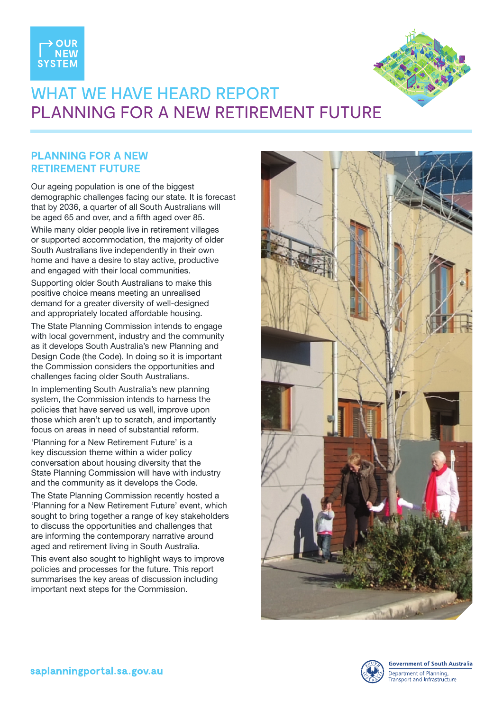



## WHAT WE HAVE HEARD REPORT PLANNING FOR A NEW RETIREMENT FUTURE

## **PLANNING FOR A NEW RETIREMENT FUTURE**

Our ageing population is one of the biggest demographic challenges facing our state. It is forecast that by 2036, a quarter of all South Australians will be aged 65 and over, and a fifth aged over 85.

While many older people live in retirement villages or supported accommodation, the majority of older South Australians live independently in their own home and have a desire to stay active, productive and engaged with their local communities.

Supporting older South Australians to make this positive choice means meeting an unrealised demand for a greater diversity of well-designed and appropriately located affordable housing.

The State Planning Commission intends to engage with local government, industry and the community as it develops South Australia's new Planning and Design Code (the Code). In doing so it is important the Commission considers the opportunities and challenges facing older South Australians.

In implementing South Australia's new planning system, the Commission intends to harness the policies that have served us well, improve upon those which aren't up to scratch, and importantly focus on areas in need of substantial reform.

'Planning for a New Retirement Future' is a key discussion theme within a wider policy conversation about housing diversity that the State Planning Commission will have with industry and the community as it develops the Code.

The State Planning Commission recently hosted a 'Planning for a New Retirement Future' event, which sought to bring together a range of key stakeholders to discuss the opportunities and challenges that are informing the contemporary narrative around aged and retirement living in South Australia.

This event also sought to highlight ways to improve policies and processes for the future. This report summarises the key areas of discussion including important next steps for the Commission.



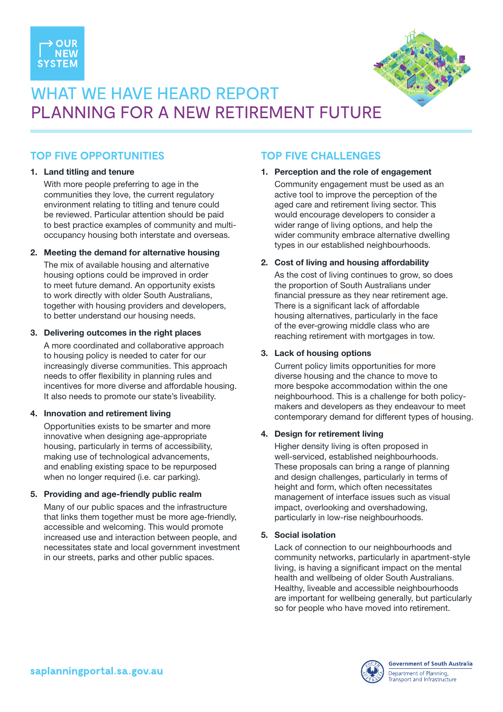



# WHAT WE HAVE HEARD REPORT PLANNING FOR A NEW RETIREMENT FUTURE

## **TOP FIVE OPPORTUNITIES**

#### 1. Land titling and tenure

With more people preferring to age in the communities they love, the current regulatory environment relating to titling and tenure could be reviewed. Particular attention should be paid to best practice examples of community and multioccupancy housing both interstate and overseas.

#### 2. Meeting the demand for alternative housing

The mix of available housing and alternative housing options could be improved in order to meet future demand. An opportunity exists to work directly with older South Australians, together with housing providers and developers, to better understand our housing needs.

#### 3. Delivering outcomes in the right places

A more coordinated and collaborative approach to housing policy is needed to cater for our increasingly diverse communities. This approach needs to offer flexibility in planning rules and incentives for more diverse and affordable housing. It also needs to promote our state's liveability.

#### 4. Innovation and retirement living

Opportunities exists to be smarter and more innovative when designing age-appropriate housing, particularly in terms of accessibility, making use of technological advancements, and enabling existing space to be repurposed when no longer required (i.e. car parking).

#### 5. Providing and age-friendly public realm

Many of our public spaces and the infrastructure that links them together must be more age-friendly, accessible and welcoming. This would promote increased use and interaction between people, and necessitates state and local government investment in our streets, parks and other public spaces.

## **TOP FIVE CHALLENGES**

#### 1. Perception and the role of engagement

Community engagement must be used as an active tool to improve the perception of the aged care and retirement living sector. This would encourage developers to consider a wider range of living options, and help the wider community embrace alternative dwelling types in our established neighbourhoods.

#### 2. Cost of living and housing affordability

As the cost of living continues to grow, so does the proportion of South Australians under financial pressure as they near retirement age. There is a significant lack of affordable housing alternatives, particularly in the face of the ever-growing middle class who are reaching retirement with mortgages in tow.

#### 3. Lack of housing options

Current policy limits opportunities for more diverse housing and the chance to move to more bespoke accommodation within the one neighbourhood. This is a challenge for both policymakers and developers as they endeavour to meet contemporary demand for different types of housing.

#### 4. Design for retirement living

Higher density living is often proposed in well-serviced, established neighbourhoods. These proposals can bring a range of planning and design challenges, particularly in terms of height and form, which often necessitates management of interface issues such as visual impact, overlooking and overshadowing, particularly in low-rise neighbourhoods.

#### 5. Social isolation

Lack of connection to our neighbourhoods and community networks, particularly in apartment-style living, is having a significant impact on the mental health and wellbeing of older South Australians. Healthy, liveable and accessible neighbourhoods are important for wellbeing generally, but particularly so for people who have moved into retirement.